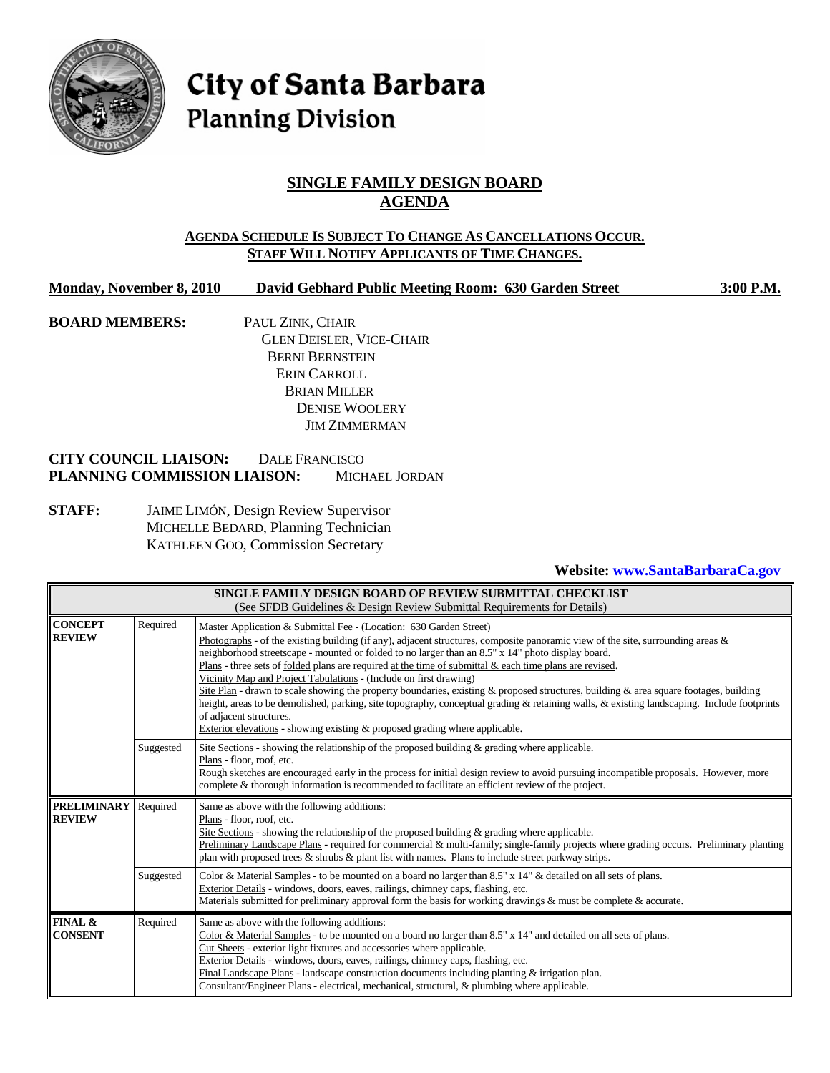

# City of Santa Barbara **Planning Division**

# **SINGLE FAMILY DESIGN BOARD AGENDA**

## **AGENDA SCHEDULE IS SUBJECT TO CHANGE AS CANCELLATIONS OCCUR. STAFF WILL NOTIFY APPLICANTS OF TIME CHANGES.**

### **Monday, November 8, 2010 David Gebhard Public Meeting Room: 630 Garden Street 3:00 P.M.**

**BOARD MEMBERS:** PAUL ZINK, CHAIR GLEN DEISLER, VICE-CHAIR BERNI BERNSTEIN ERIN CARROLL BRIAN MILLER DENISE WOOLERY JIM ZIMMERMAN

## **CITY COUNCIL LIAISON:** DALE FRANCISCO **PLANNING COMMISSION LIAISON:** MICHAEL JORDAN

**STAFF:** JAIME LIMÓN, Design Review Supervisor MICHELLE BEDARD, Planning Technician KATHLEEN GOO, Commission Secretary

## **Website: www.SantaBarbaraCa.gov**

| SINGLE FAMILY DESIGN BOARD OF REVIEW SUBMITTAL CHECKLIST<br>(See SFDB Guidelines & Design Review Submittal Requirements for Details) |           |                                                                                                                                                                                                                                                                                                                                                                                                                                                                                                                                                                                                                                                                                                                                                                                                                                                                                                   |  |  |  |  |  |
|--------------------------------------------------------------------------------------------------------------------------------------|-----------|---------------------------------------------------------------------------------------------------------------------------------------------------------------------------------------------------------------------------------------------------------------------------------------------------------------------------------------------------------------------------------------------------------------------------------------------------------------------------------------------------------------------------------------------------------------------------------------------------------------------------------------------------------------------------------------------------------------------------------------------------------------------------------------------------------------------------------------------------------------------------------------------------|--|--|--|--|--|
| <b>CONCEPT</b><br><b>REVIEW</b>                                                                                                      | Required  | Master Application & Submittal Fee - (Location: 630 Garden Street)<br>Photographs - of the existing building (if any), adjacent structures, composite panoramic view of the site, surrounding areas $\&$<br>neighborhood streetscape - mounted or folded to no larger than an 8.5" x 14" photo display board.<br>Plans - three sets of folded plans are required at the time of submittal & each time plans are revised.<br>Vicinity Map and Project Tabulations - (Include on first drawing)<br>Site Plan - drawn to scale showing the property boundaries, existing & proposed structures, building & area square footages, building<br>height, areas to be demolished, parking, site topography, conceptual grading & retaining walls, & existing landscaping. Include footprints<br>of adjacent structures.<br>Exterior elevations - showing existing $\&$ proposed grading where applicable. |  |  |  |  |  |
|                                                                                                                                      | Suggested | Site Sections - showing the relationship of the proposed building $\&$ grading where applicable.<br>Plans - floor, roof, etc.<br>Rough sketches are encouraged early in the process for initial design review to avoid pursuing incompatible proposals. However, more<br>complete & thorough information is recommended to facilitate an efficient review of the project.                                                                                                                                                                                                                                                                                                                                                                                                                                                                                                                         |  |  |  |  |  |
| <b>PRELIMINARY</b><br><b>REVIEW</b>                                                                                                  | Required  | Same as above with the following additions:<br>Plans - floor, roof, etc.<br>Site Sections - showing the relationship of the proposed building $\&$ grading where applicable.<br>Preliminary Landscape Plans - required for commercial & multi-family; single-family projects where grading occurs. Preliminary planting<br>plan with proposed trees & shrubs & plant list with names. Plans to include street parkway strips.                                                                                                                                                                                                                                                                                                                                                                                                                                                                     |  |  |  |  |  |
|                                                                                                                                      | Suggested | Color & Material Samples - to be mounted on a board no larger than 8.5" x 14" & detailed on all sets of plans.<br>Exterior Details - windows, doors, eaves, railings, chimney caps, flashing, etc.<br>Materials submitted for preliminary approval form the basis for working drawings & must be complete & accurate.                                                                                                                                                                                                                                                                                                                                                                                                                                                                                                                                                                             |  |  |  |  |  |
| FINAL &<br><b>CONSENT</b>                                                                                                            | Required  | Same as above with the following additions:<br>Color & Material Samples - to be mounted on a board no larger than 8.5" x 14" and detailed on all sets of plans.<br>Cut Sheets - exterior light fixtures and accessories where applicable.<br>Exterior Details - windows, doors, eaves, railings, chimney caps, flashing, etc.<br>Final Landscape Plans - landscape construction documents including planting $&$ irrigation plan.<br>Consultant/Engineer Plans - electrical, mechanical, structural, & plumbing where applicable.                                                                                                                                                                                                                                                                                                                                                                 |  |  |  |  |  |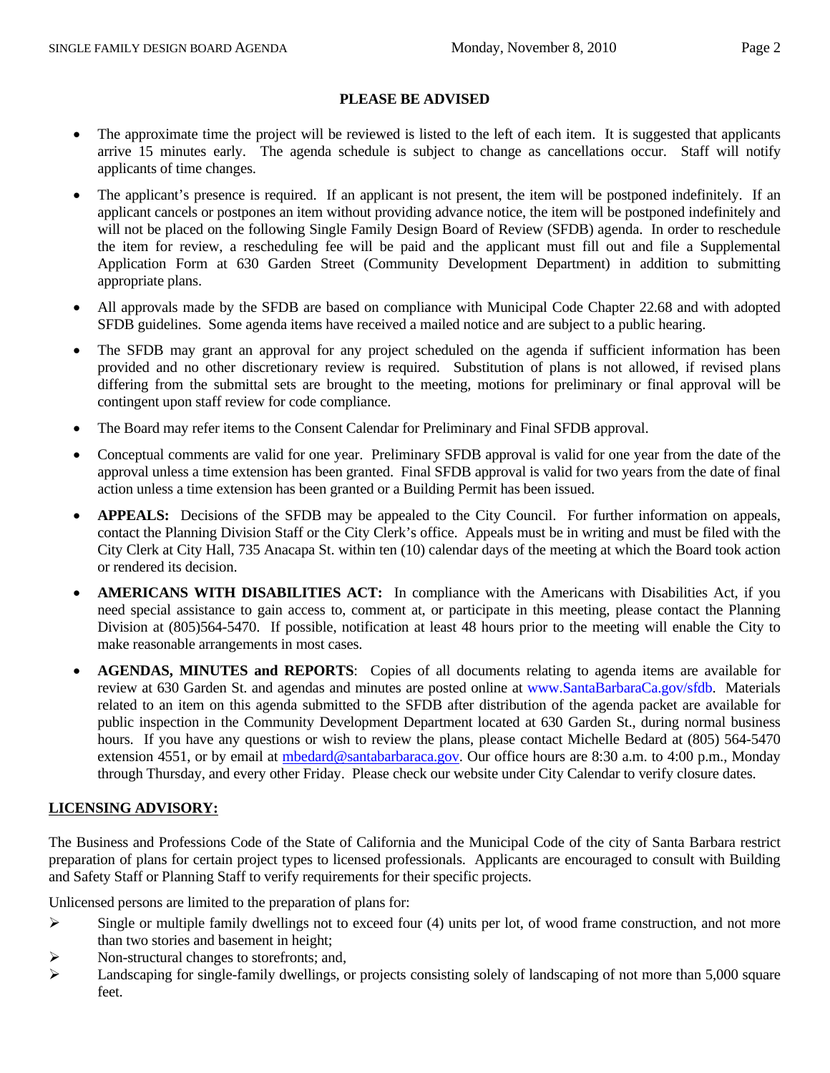## **PLEASE BE ADVISED**

- The approximate time the project will be reviewed is listed to the left of each item. It is suggested that applicants arrive 15 minutes early. The agenda schedule is subject to change as cancellations occur. Staff will notify applicants of time changes.
- The applicant's presence is required. If an applicant is not present, the item will be postponed indefinitely. If an applicant cancels or postpones an item without providing advance notice, the item will be postponed indefinitely and will not be placed on the following Single Family Design Board of Review (SFDB) agenda. In order to reschedule the item for review, a rescheduling fee will be paid and the applicant must fill out and file a Supplemental Application Form at 630 Garden Street (Community Development Department) in addition to submitting appropriate plans.
- All approvals made by the SFDB are based on compliance with Municipal Code Chapter 22.68 and with adopted SFDB guidelines. Some agenda items have received a mailed notice and are subject to a public hearing.
- The SFDB may grant an approval for any project scheduled on the agenda if sufficient information has been provided and no other discretionary review is required. Substitution of plans is not allowed, if revised plans differing from the submittal sets are brought to the meeting, motions for preliminary or final approval will be contingent upon staff review for code compliance.
- The Board may refer items to the Consent Calendar for Preliminary and Final SFDB approval.
- Conceptual comments are valid for one year. Preliminary SFDB approval is valid for one year from the date of the approval unless a time extension has been granted. Final SFDB approval is valid for two years from the date of final action unless a time extension has been granted or a Building Permit has been issued.
- **APPEALS:** Decisions of the SFDB may be appealed to the City Council. For further information on appeals, contact the Planning Division Staff or the City Clerk's office. Appeals must be in writing and must be filed with the City Clerk at City Hall, 735 Anacapa St. within ten (10) calendar days of the meeting at which the Board took action or rendered its decision.
- **AMERICANS WITH DISABILITIES ACT:** In compliance with the Americans with Disabilities Act, if you need special assistance to gain access to, comment at, or participate in this meeting, please contact the Planning Division at (805)564-5470. If possible, notification at least 48 hours prior to the meeting will enable the City to make reasonable arrangements in most cases.
- **AGENDAS, MINUTES and REPORTS**: Copies of all documents relating to agenda items are available for review at 630 Garden St. and agendas and minutes are posted online at [www.SantaBarbaraCa.gov](http://www.santabarbaraca.gov/)/sfdb. Materials related to an item on this agenda submitted to the SFDB after distribution of the agenda packet are available for public inspection in the Community Development Department located at 630 Garden St., during normal business hours. If you have any questions or wish to review the plans, please contact Michelle Bedard at (805) 564-5470 extension 4551, or by email at [mbedard@santabarbaraca.gov.](mailto:mbedard@santabarbaraca.gov) Our office hours are 8:30 a.m. to 4:00 p.m., Monday through Thursday, and every other Friday. Please check our website under City Calendar to verify closure dates.

## **LICENSING ADVISORY:**

The Business and Professions Code of the State of California and the Municipal Code of the city of Santa Barbara restrict preparation of plans for certain project types to licensed professionals. Applicants are encouraged to consult with Building and Safety Staff or Planning Staff to verify requirements for their specific projects.

Unlicensed persons are limited to the preparation of plans for:

- $\triangleright$  Single or multiple family dwellings not to exceed four (4) units per lot, of wood frame construction, and not more than two stories and basement in height;
- ¾ Non-structural changes to storefronts; and,
- $\blacktriangleright$  Landscaping for single-family dwellings, or projects consisting solely of landscaping of not more than 5,000 square feet.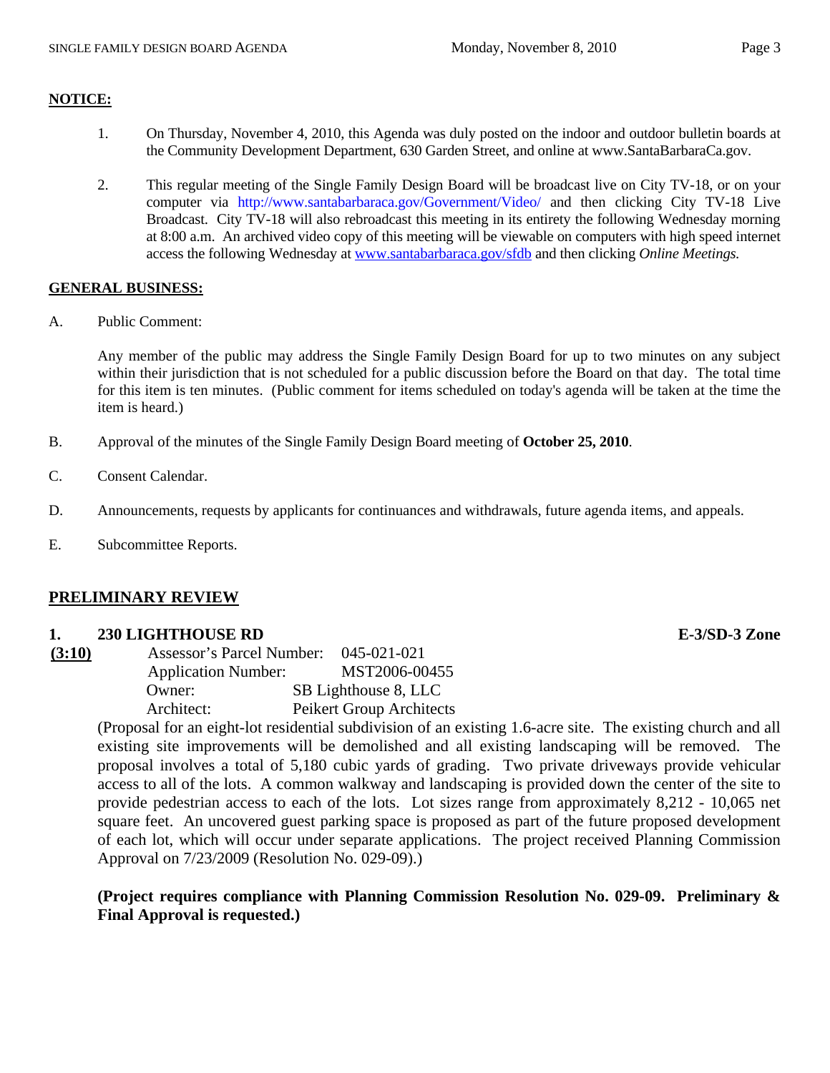#### **NOTICE:**

- 1. On Thursday, November 4, 2010, this Agenda was duly posted on the indoor and outdoor bulletin boards at the Community Development Department, 630 Garden Street, and online at www.SantaBarbaraCa.gov.
- 2. This regular meeting of the Single Family Design Board will be broadcast live on City TV-18, or on your computer via <http://www.santabarbaraca.gov/Government/Video/> and then clicking City TV-18 Live Broadcast. City TV-18 will also rebroadcast this meeting in its entirety the following Wednesday morning at 8:00 a.m. An archived video copy of this meeting will be viewable on computers with high speed internet access the following Wednesday at [www.santabarbaraca.gov/sfdb](http://www.santabarbaraca.gov/sfdb) and then clicking *Online Meetings.*

#### **GENERAL BUSINESS:**

A. Public Comment:

Any member of the public may address the Single Family Design Board for up to two minutes on any subject within their jurisdiction that is not scheduled for a public discussion before the Board on that day. The total time for this item is ten minutes. (Public comment for items scheduled on today's agenda will be taken at the time the item is heard.)

- B. Approval of the minutes of the Single Family Design Board meeting of **October 25, 2010**.
- C. Consent Calendar.
- D. Announcements, requests by applicants for continuances and withdrawals, future agenda items, and appeals.
- E. Subcommittee Reports.

### **PRELIMINARY REVIEW**

#### **1. 230 LIGHTHOUSE RD E-3/SD-3 Zone**

| (3:10) | Assessor's Parcel Number:  | 045-021-021              |
|--------|----------------------------|--------------------------|
|        | <b>Application Number:</b> | MST2006-00455            |
|        | Owner:                     | SB Lighthouse 8, LLC     |
|        | Architect:                 | Peikert Group Architects |

(Proposal for an eight-lot residential subdivision of an existing 1.6-acre site. The existing church and all existing site improvements will be demolished and all existing landscaping will be removed. The proposal involves a total of 5,180 cubic yards of grading. Two private driveways provide vehicular access to all of the lots. A common walkway and landscaping is provided down the center of the site to provide pedestrian access to each of the lots. Lot sizes range from approximately 8,212 - 10,065 net square feet. An uncovered guest parking space is proposed as part of the future proposed development of each lot, which will occur under separate applications. The project received Planning Commission Approval on 7/23/2009 (Resolution No. 029-09).)

**(Project requires compliance with Planning Commission Resolution No. 029-09. Preliminary & Final Approval is requested.)**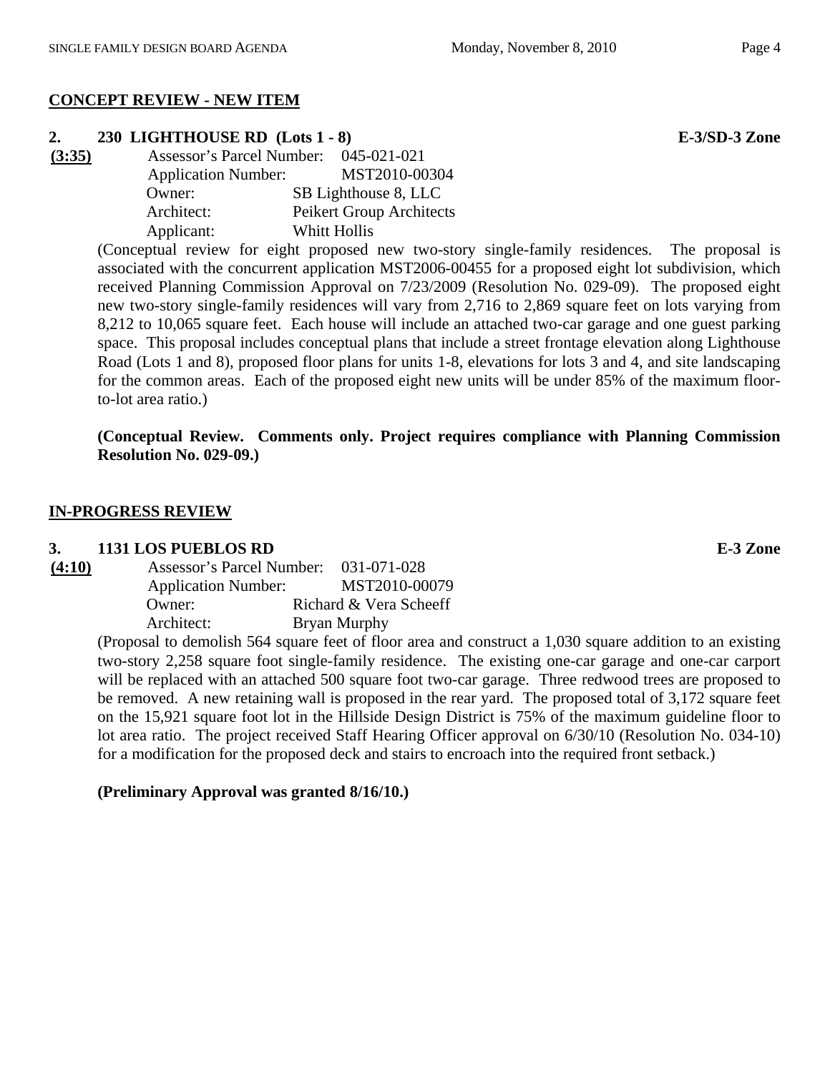## **CONCEPT REVIEW - NEW ITEM**

# **2. 230 LIGHTHOUSE RD (Lots 1 - 8) E-3/SD-3 Zone**

**(3:35)** Assessor's Parcel Number: 045-021-021 Application Number: MST2010-00304 Owner: SB Lighthouse 8, LLC Architect: Peikert Group Architects Applicant: Whitt Hollis

> (Conceptual review for eight proposed new two-story single-family residences. The proposal is associated with the concurrent application MST2006-00455 for a proposed eight lot subdivision, which received Planning Commission Approval on 7/23/2009 (Resolution No. 029-09). The proposed eight new two-story single-family residences will vary from 2,716 to 2,869 square feet on lots varying from 8,212 to 10,065 square feet. Each house will include an attached two-car garage and one guest parking space. This proposal includes conceptual plans that include a street frontage elevation along Lighthouse Road (Lots 1 and 8), proposed floor plans for units 1-8, elevations for lots 3 and 4, and site landscaping for the common areas. Each of the proposed eight new units will be under 85% of the maximum floorto-lot area ratio.)

> **(Conceptual Review. Comments only. Project requires compliance with Planning Commission Resolution No. 029-09.)**

## **IN-PROGRESS REVIEW**

### **3. 1131 LOS PUEBLOS RD E-3 Zone**

| (4:10) | Assessor's Parcel Number:  | 031-071-028            |
|--------|----------------------------|------------------------|
|        | <b>Application Number:</b> | MST2010-00079          |
|        | Owner:                     | Richard & Vera Scheeff |
|        | Architect:                 | Bryan Murphy           |

(Proposal to demolish 564 square feet of floor area and construct a 1,030 square addition to an existing two-story 2,258 square foot single-family residence. The existing one-car garage and one-car carport will be replaced with an attached 500 square foot two-car garage. Three redwood trees are proposed to be removed. A new retaining wall is proposed in the rear yard. The proposed total of 3,172 square feet on the 15,921 square foot lot in the Hillside Design District is 75% of the maximum guideline floor to lot area ratio. The project received Staff Hearing Officer approval on 6/30/10 (Resolution No. 034-10) for a modification for the proposed deck and stairs to encroach into the required front setback.)

### **(Preliminary Approval was granted 8/16/10.)**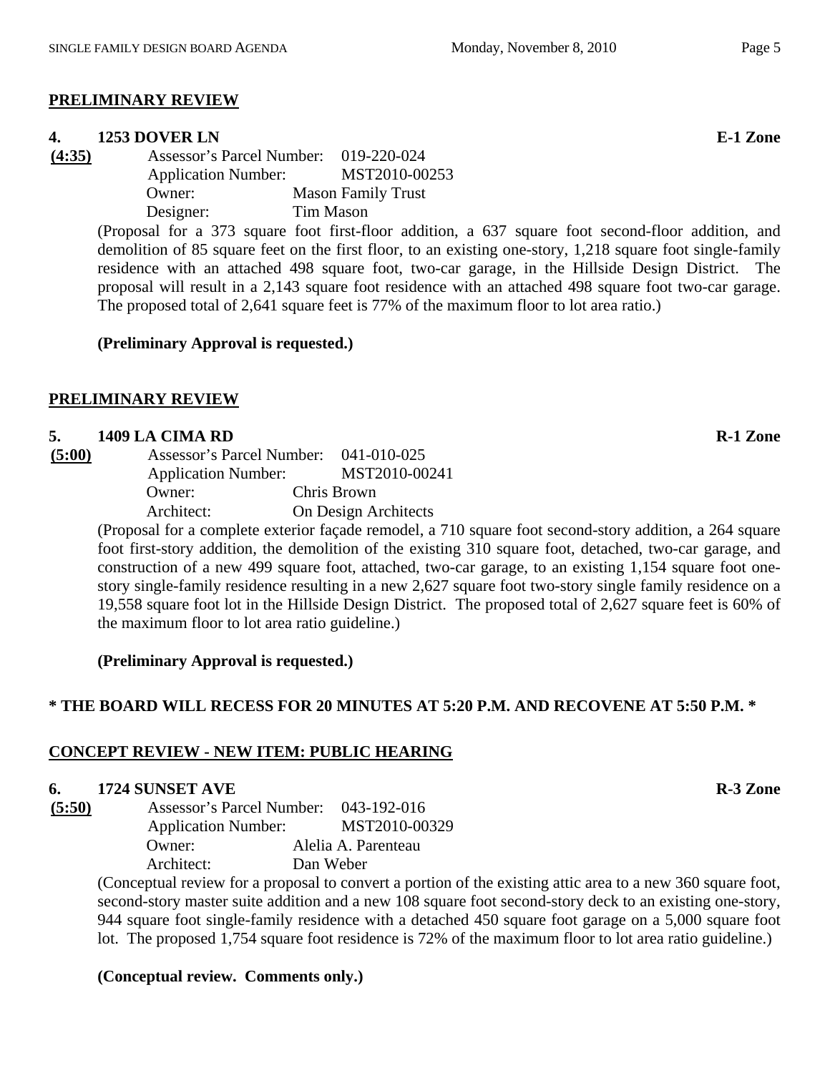# **PRELIMINARY REVIEW**

# **4. 1253 DOVER LN E-1 Zone**

**(4:35)** Assessor's Parcel Number: 019-220-024 Application Number: MST2010-00253 Owner: Mason Family Trust Designer: Tim Mason

> (Proposal for a 373 square foot first-floor addition, a 637 square foot second-floor addition, and demolition of 85 square feet on the first floor, to an existing one-story, 1,218 square foot single-family residence with an attached 498 square foot, two-car garage, in the Hillside Design District. The proposal will result in a 2,143 square foot residence with an attached 498 square foot two-car garage. The proposed total of 2,641 square feet is 77% of the maximum floor to lot area ratio.)

# **(Preliminary Approval is requested.)**

# **PRELIMINARY REVIEW**

# **5. 1409 LA CIMA RD R-1 Zone**

| (5:00) |                                        | Assessor's Parcel Number:                                                                                                                                                                                                                                                                                                                    |             | 041-010-025   |
|--------|----------------------------------------|----------------------------------------------------------------------------------------------------------------------------------------------------------------------------------------------------------------------------------------------------------------------------------------------------------------------------------------------|-------------|---------------|
|        | <b>Application Number:</b>             |                                                                                                                                                                                                                                                                                                                                              |             | MST2010-00241 |
|        | Owner:                                 |                                                                                                                                                                                                                                                                                                                                              | Chris Brown |               |
|        | Architect:                             | On Design Architects                                                                                                                                                                                                                                                                                                                         |             |               |
|        | $\mathbf{1}$ $\mathbf{c}$ $\mathbf{r}$ | $\cdots$ $\cdots$ $\cdots$ $\cdots$ $\cdots$ $\cdots$ $\cdots$ $\cdots$ $\cdots$ $\cdots$ $\cdots$ $\cdots$ $\cdots$ $\cdots$ $\cdots$ $\cdots$ $\cdots$ $\cdots$ $\cdots$ $\cdots$ $\cdots$ $\cdots$ $\cdots$ $\cdots$ $\cdots$ $\cdots$ $\cdots$ $\cdots$ $\cdots$ $\cdots$ $\cdots$ $\cdots$ $\cdots$ $\cdots$ $\cdots$ $\cdots$ $\cdots$ |             | 711           |

(Proposal for a complete exterior façade remodel, a 710 square foot second-story addition, a 264 square foot first-story addition, the demolition of the existing 310 square foot, detached, two-car garage, and construction of a new 499 square foot, attached, two-car garage, to an existing 1,154 square foot onestory single-family residence resulting in a new 2,627 square foot two-story single family residence on a 19,558 square foot lot in the Hillside Design District. The proposed total of 2,627 square feet is 60% of the maximum floor to lot area ratio guideline.)

**(Preliminary Approval is requested.)** 

# **\* THE BOARD WILL RECESS FOR 20 MINUTES AT 5:20 P.M. AND RECOVENE AT 5:50 P.M. \***

# **CONCEPT REVIEW - NEW ITEM: PUBLIC HEARING**

# **6.** 1724 SUNSET AVE **R-3** Zone

**(5:50)** Assessor's Parcel Number: 043-192-016 Application Number: MST2010-00329 Owner: Alelia A. Parenteau Architect: Dan Weber

(Conceptual review for a proposal to convert a portion of the existing attic area to a new 360 square foot, second-story master suite addition and a new 108 square foot second-story deck to an existing one-story, 944 square foot single-family residence with a detached 450 square foot garage on a 5,000 square foot lot. The proposed 1,754 square foot residence is 72% of the maximum floor to lot area ratio guideline.)

# **(Conceptual review. Comments only.)**